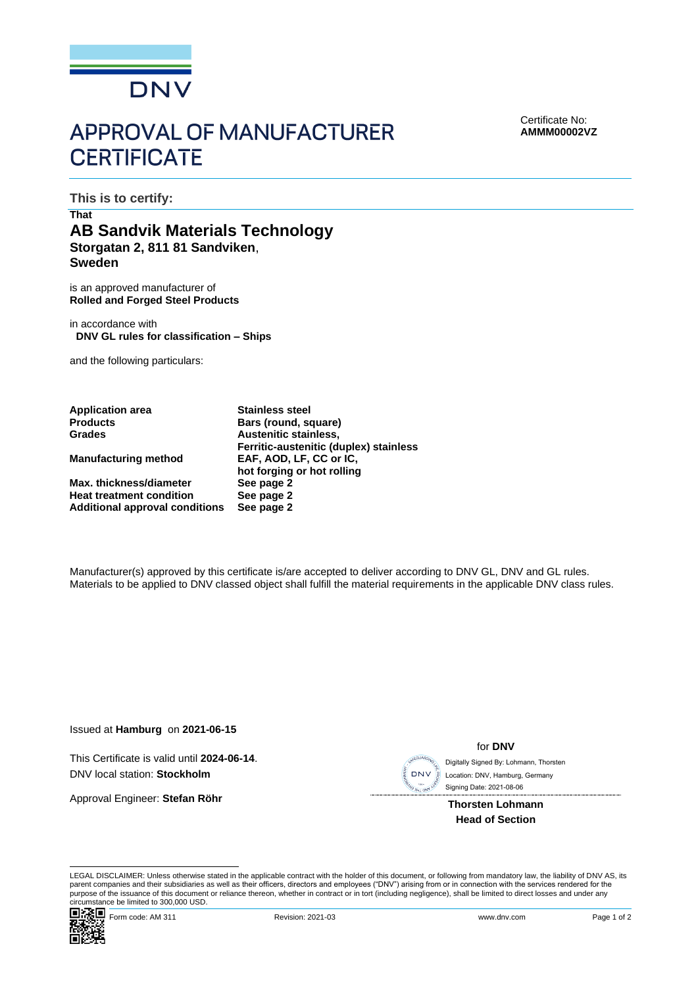

# **APPROVAL OF MANUFACTURER CERTIFICATE**

Certificate No: **AMMM00002VZ**

**This is to certify:**

## **That AB Sandvik Materials Technology Storgatan 2, 811 81 Sandviken**, **Sweden**

is an approved manufacturer of **Rolled and Forged Steel Products**

in accordance with **DNV GL rules for classification – Ships**

and the following particulars:

**Application area Stainless steel**

**Max. thickness/diameter Heat treatment condition See page 2 Additional approval conditions** 

**Products Bars (round, square) Grades Austenitic stainless, Ferritic-austenitic (duplex) stainless Manufacturing method EAF, AOD, LF, CC or IC, hot forging or hot rolling**

Manufacturer(s) approved by this certificate is/are accepted to deliver according to DNV GL, DNV and GL rules. Materials to be applied to DNV classed object shall fulfill the material requirements in the applicable DNV class rules.

Issued at **Hamburg** on **2021-06-15**

This Certificate is valid until **2024-06-14**. DNV local station: **Stockholm**

Approval Engineer: **Stefan Röhr**

**DNV** 

for **DNV**

 Signing Date: 2021-08-06 Digitally Signed By: Lohmann, Thorsten Location: DNV, Hamburg, Germany

**Thorsten Lohmann Head of Section**

LEGAL DISCLAIMER: Unless otherwise stated in the applicable contract with the holder of this document, or following from mandatory law, the liability of DNV AS, its parent companies and their subsidiaries as well as their officers, directors and employees ("DNV") arising from or in connection with the services rendered for the purpose of the issuance of this document or reliance thereon, whether in contract or in tort (including negligence), shall be limited to direct losses and under any circumstance be limited to 300,000 USD.